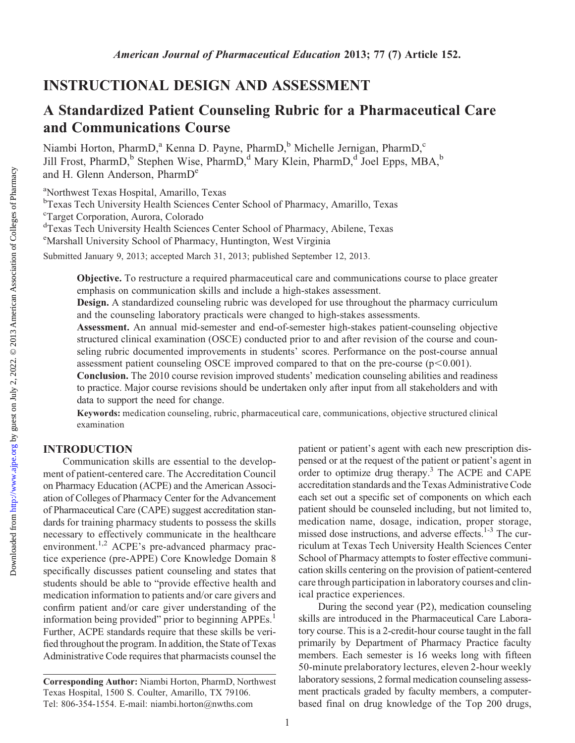Downloaded from

# INSTRUCTIONAL DESIGN AND ASSESSMENT

# A Standardized Patient Counseling Rubric for a Pharmaceutical Care and Communications Course

Niambi Horton, PharmD,<sup>a</sup> Kenna D. Payne, PharmD,<sup>b</sup> Michelle Jernigan, PharmD,<sup>c</sup> Jill Frost, PharmD,<sup>b</sup> Stephen Wise, PharmD,<sup>d</sup> Mary Klein, PharmD,<sup>d</sup> Joel Epps, MBA,<sup>b</sup> and H. Glenn Anderson, PharmD<sup>e</sup>

a Northwest Texas Hospital, Amarillo, Texas

<sup>b</sup>Texas Tech University Health Sciences Center School of Pharmacy, Amarillo, Texas c Target Corporation, Aurora, Colorado

dTexas Tech University Health Sciences Center School of Pharmacy, Abilene, Texas

e Marshall University School of Pharmacy, Huntington, West Virginia

Submitted January 9, 2013; accepted March 31, 2013; published September 12, 2013.

Objective. To restructure a required pharmaceutical care and communications course to place greater emphasis on communication skills and include a high-stakes assessment.

Design. A standardized counseling rubric was developed for use throughout the pharmacy curriculum and the counseling laboratory practicals were changed to high-stakes assessments.

Assessment. An annual mid-semester and end-of-semester high-stakes patient-counseling objective structured clinical examination (OSCE) conducted prior to and after revision of the course and counseling rubric documented improvements in students' scores. Performance on the post-course annual assessment patient counseling OSCE improved compared to that on the pre-course  $(p<0.001)$ .

Conclusion. The 2010 course revision improved students' medication counseling abilities and readiness to practice. Major course revisions should be undertaken only after input from all stakeholders and with data to support the need for change.

Keywords: medication counseling, rubric, pharmaceutical care, communications, objective structured clinical examination

### INTRODUCTION

Communication skills are essential to the development of patient-centered care. The Accreditation Council on Pharmacy Education (ACPE) and the American Association of Colleges of Pharmacy Center for the Advancement of Pharmaceutical Care (CAPE) suggest accreditation standards for training pharmacy students to possess the skills necessary to effectively communicate in the healthcare environment.<sup>1,2</sup> ACPE's pre-advanced pharmacy practice experience (pre-APPE) Core Knowledge Domain 8 specifically discusses patient counseling and states that students should be able to "provide effective health and medication information to patients and/or care givers and confirm patient and/or care giver understanding of the information being provided" prior to beginning APPEs.<sup>1</sup> Further, ACPE standards require that these skills be verified throughout the program. In addition, the State of Texas Administrative Code requires that pharmacists counsel the

patient or patient's agent with each new prescription dispensed or at the request of the patient or patient's agent in order to optimize drug therapy.<sup>3</sup> The ACPE and CAPE accreditation standards and the Texas Administrative Code each set out a specific set of components on which each patient should be counseled including, but not limited to, medication name, dosage, indication, proper storage, missed dose instructions, and adverse effects.1-3 The curriculum at Texas Tech University Health Sciences Center School of Pharmacy attempts to foster effective communication skills centering on the provision of patient-centered care through participation in laboratory courses and clinical practice experiences.

During the second year (P2), medication counseling skills are introduced in the Pharmaceutical Care Laboratory course. This is a 2-credit-hour course taught in the fall primarily by Department of Pharmacy Practice faculty members. Each semester is 16 weeks long with fifteen 50-minute prelaboratory lectures, eleven 2-hour weekly laboratory sessions, 2 formal medication counseling assessment practicals graded by faculty members, a computerbased final on drug knowledge of the Top 200 drugs,

Corresponding Author: Niambi Horton, PharmD, Northwest Texas Hospital, 1500 S. Coulter, Amarillo, TX 79106. Tel: 806-354-1554. E-mail: niambi.horton@nwths.com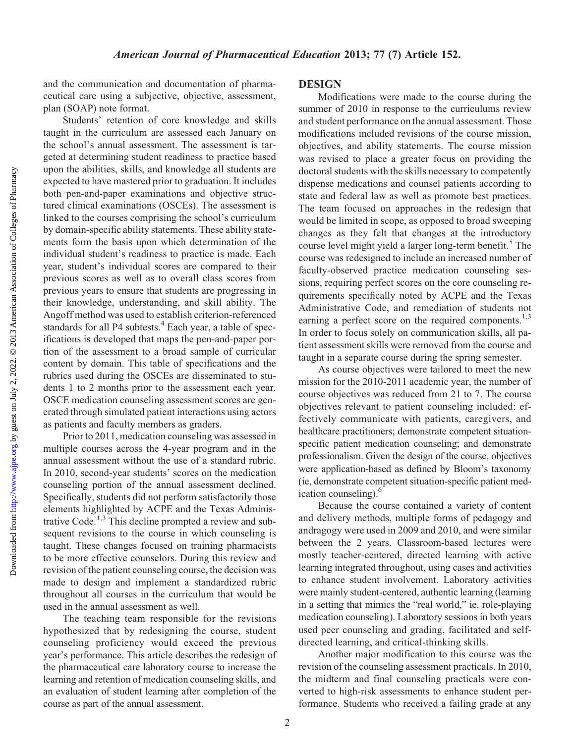and the communication and documentation of pharmaceutical care using a subjective, objective, assessment, plan (SOAP) note format.

Students' retention of core knowledge and skills taught in the curriculum are assessed each January on the school's annual assessment. The assessment is targeted at determining student readiness to practice based upon the abilities, skills, and knowledge all students are expected to have mastered prior to graduation. It includes both pen-and-paper examinations and objective structured clinical examinations (OSCEs). The assessment is linked to the courses comprising the school's curriculum by domain-specific ability statements. These ability statements form the basis upon which determination of the individual student's readiness to practice is made. Each year, student's individual scores are compared to their previous scores as well as to overall class scores from previous years to ensure that students are progressing in their knowledge, understanding, and skill ability. The Angoff method was used to establish criterion-referenced standards for all P4 subtests.<sup>4</sup> Each year, a table of specifications is developed that maps the pen-and-paper portion of the assessment to a broad sample of curricular content by domain. This table of specifications and the rubrics used during the OSCEs are disseminated to students 1 to 2 months prior to the assessment each year. OSCE medication counseling assessment scores are generated through simulated patient interactions using actors as patients and faculty members as graders.

Prior to 2011, medication counseling was assessed in multiple courses across the 4-year program and in the annual assessment without the use of a standard rubric. In 2010, second-year students' scores on the medication counseling portion of the annual assessment declined. Specifically, students did not perform satisfactorily those elements highlighted by ACPE and the Texas Administrative Code.<sup>1,3</sup> This decline prompted a review and subsequent revisions to the course in which counseling is taught. These changes focused on training pharmacists to be more effective counselors. During this review and revision of the patient counseling course, the decision was made to design and implement a standardized rubric throughout all courses in the curriculum that would be used in the annual assessment as well.

The teaching team responsible for the revisions hypothesized that by redesigning the course, student counseling proficiency would exceed the previous year's performance. This article describes the redesign of the pharmaceutical care laboratory course to increase the learning and retention of medication counseling skills, and an evaluation of student learning after completion of the course as part of the annual assessment.

#### **DESIGN**

Modifications were made to the course during the summer of 2010 in response to the curriculums review and student performance on the annual assessment. Those modifications included revisions of the course mission, objectives, and ability statements. The course mission was revised to place a greater focus on providing the doctoral students with the skills necessary to competently dispense medications and counsel patients according to state and federal law as well as promote best practices. The team focused on approaches in the redesign that would be limited in scope, as opposed to broad sweeping changes as they felt that changes at the introductory course level might yield a larger long-term benefit.<sup>5</sup> The course was redesigned to include an increased number of faculty-observed practice medication counseling sessions, requiring perfect scores on the core counseling requirements specifically noted by ACPE and the Texas Administrative Code, and remediation of students not earning a perfect score on the required components.<sup>1,3</sup> In order to focus solely on communication skills, all patient assessment skills were removed from the course and taught in a separate course during the spring semester.

As course objectives were tailored to meet the new mission for the 2010-2011 academic year, the number of course objectives was reduced from 21 to 7. The course objectives relevant to patient counseling included: effectively communicate with patients, caregivers, and healthcare practitioners; demonstrate competent situationspecific patient medication counseling; and demonstrate professionalism. Given the design of the course, objectives were application-based as defined by Bloom's taxonomy (ie, demonstrate competent situation-specific patient medication counseling).<sup>6</sup>

Because the course contained a variety of content and delivery methods, multiple forms of pedagogy and andragogy were used in 2009 and 2010, and were similar between the 2 years. Classroom-based lectures were mostly teacher-centered, directed learning with active learning integrated throughout, using cases and activities to enhance student involvement. Laboratory activities were mainly student-centered, authentic learning (learning in a setting that mimics the "real world," ie, role-playing medication counseling). Laboratory sessions in both years used peer counseling and grading, facilitated and selfdirected learning, and critical-thinking skills.

Another major modification to this course was the revision of the counseling assessment practicals. In 2010, the midterm and final counseling practicals were converted to high-risk assessments to enhance student performance. Students who received a failing grade at any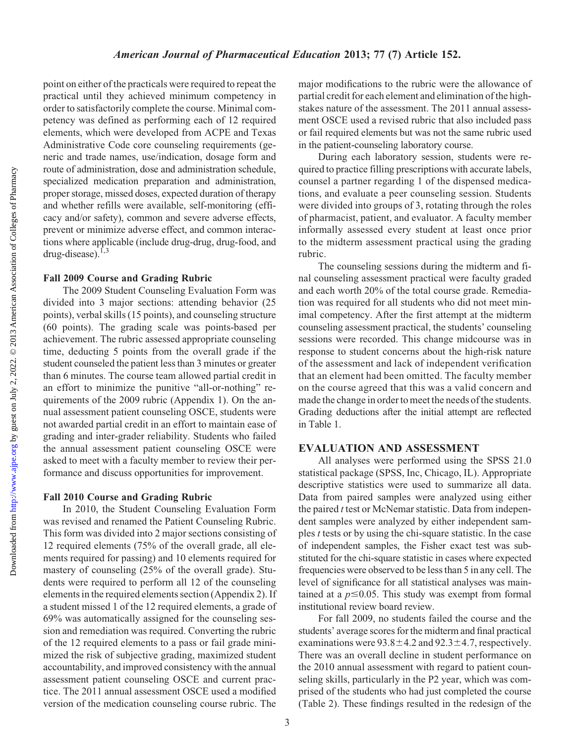Downloaded from

point on either of the practicals were required to repeat the practical until they achieved minimum competency in order to satisfactorily complete the course. Minimal competency was defined as performing each of 12 required elements, which were developed from ACPE and Texas Administrative Code core counseling requirements (generic and trade names, use/indication, dosage form and route of administration, dose and administration schedule, specialized medication preparation and administration, proper storage, missed doses, expected duration of therapy and whether refills were available, self-monitoring (efficacy and/or safety), common and severe adverse effects, prevent or minimize adverse effect, and common interactions where applicable (include drug-drug, drug-food, and drug-disease).<sup>1,3</sup>

#### Fall 2009 Course and Grading Rubric

The 2009 Student Counseling Evaluation Form was divided into 3 major sections: attending behavior (25 points), verbal skills (15 points), and counseling structure (60 points). The grading scale was points-based per achievement. The rubric assessed appropriate counseling time, deducting 5 points from the overall grade if the student counseled the patient less than 3 minutes or greater than 6 minutes. The course team allowed partial credit in an effort to minimize the punitive "all-or-nothing" requirements of the 2009 rubric (Appendix 1). On the annual assessment patient counseling OSCE, students were not awarded partial credit in an effort to maintain ease of grading and inter-grader reliability. Students who failed the annual assessment patient counseling OSCE were asked to meet with a faculty member to review their performance and discuss opportunities for improvement.

#### Fall 2010 Course and Grading Rubric

In 2010, the Student Counseling Evaluation Form was revised and renamed the Patient Counseling Rubric. This form was divided into 2 major sections consisting of 12 required elements (75% of the overall grade, all elements required for passing) and 10 elements required for mastery of counseling (25% of the overall grade). Students were required to perform all 12 of the counseling elements in the required elements section (Appendix 2). If a student missed 1 of the 12 required elements, a grade of 69% was automatically assigned for the counseling session and remediation was required. Converting the rubric of the 12 required elements to a pass or fail grade minimized the risk of subjective grading, maximized student accountability, and improved consistency with the annual assessment patient counseling OSCE and current practice. The 2011 annual assessment OSCE used a modified version of the medication counseling course rubric. The

major modifications to the rubric were the allowance of partial credit for each element and elimination of the highstakes nature of the assessment. The 2011 annual assessment OSCE used a revised rubric that also included pass or fail required elements but was not the same rubric used in the patient-counseling laboratory course.

During each laboratory session, students were required to practice filling prescriptions with accurate labels, counsel a partner regarding 1 of the dispensed medications, and evaluate a peer counseling session. Students were divided into groups of 3, rotating through the roles of pharmacist, patient, and evaluator. A faculty member informally assessed every student at least once prior to the midterm assessment practical using the grading rubric.

The counseling sessions during the midterm and final counseling assessment practical were faculty graded and each worth 20% of the total course grade. Remediation was required for all students who did not meet minimal competency. After the first attempt at the midterm counseling assessment practical, the students' counseling sessions were recorded. This change midcourse was in response to student concerns about the high-risk nature of the assessment and lack of independent verification that an element had been omitted. The faculty member on the course agreed that this was a valid concern and made the change in order to meet the needs of the students. Grading deductions after the initial attempt are reflected in Table 1.

### EVALUATION AND ASSESSMENT

All analyses were performed using the SPSS 21.0 statistical package (SPSS, Inc, Chicago, IL). Appropriate descriptive statistics were used to summarize all data. Data from paired samples were analyzed using either the paired  $t$  test or McNemar statistic. Data from independent samples were analyzed by either independent samples  $t$  tests or by using the chi-square statistic. In the case of independent samples, the Fisher exact test was substituted for the chi-square statistic in cases where expected frequencies were observed to be less than 5 in any cell. The level of significance for all statistical analyses was maintained at a  $p \le 0.05$ . This study was exempt from formal institutional review board review.

For fall 2009, no students failed the course and the students' average scores for the midterm and final practical examinations were  $93.8 \pm 4.2$  and  $92.3 \pm 4.7$ , respectively. There was an overall decline in student performance on the 2010 annual assessment with regard to patient counseling skills, particularly in the P2 year, which was comprised of the students who had just completed the course (Table 2). These findings resulted in the redesign of the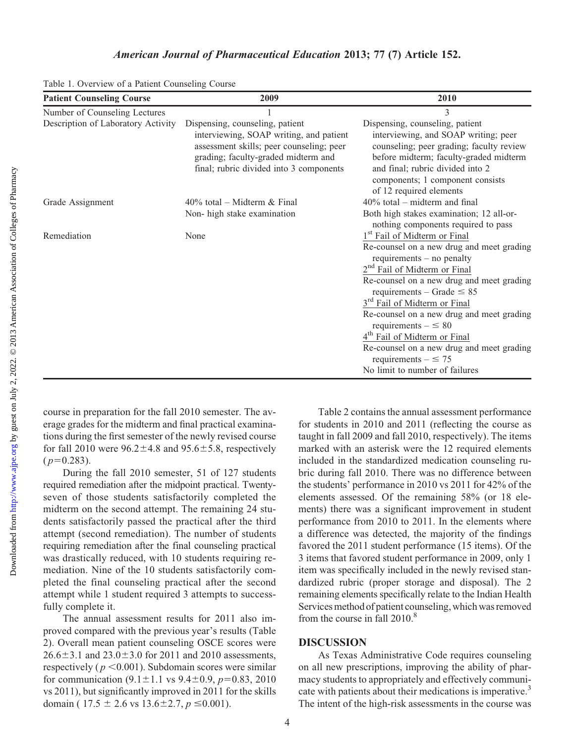| <b>Patient Counseling Course</b>   | 2009                                                                                                                                                                                                     | 2010                                                                                                                                                                                                                                                                                                                                                                                                                                                                                                                        |
|------------------------------------|----------------------------------------------------------------------------------------------------------------------------------------------------------------------------------------------------------|-----------------------------------------------------------------------------------------------------------------------------------------------------------------------------------------------------------------------------------------------------------------------------------------------------------------------------------------------------------------------------------------------------------------------------------------------------------------------------------------------------------------------------|
| Number of Counseling Lectures      |                                                                                                                                                                                                          | 3                                                                                                                                                                                                                                                                                                                                                                                                                                                                                                                           |
| Description of Laboratory Activity | Dispensing, counseling, patient<br>interviewing, SOAP writing, and patient<br>assessment skills; peer counseling; peer<br>grading; faculty-graded midterm and<br>final; rubric divided into 3 components | Dispensing, counseling, patient<br>interviewing, and SOAP writing; peer<br>counseling; peer grading; faculty review<br>before midterm; faculty-graded midterm<br>and final; rubric divided into 2<br>components; 1 component consists<br>of 12 required elements                                                                                                                                                                                                                                                            |
| Grade Assignment                   | $40\%$ total – Midterm & Final<br>Non-high stake examination                                                                                                                                             | $40\%$ total – midterm and final<br>Both high stakes examination; 12 all-or-<br>nothing components required to pass                                                                                                                                                                                                                                                                                                                                                                                                         |
| Remediation                        | None                                                                                                                                                                                                     | 1 <sup>st</sup> Fail of Midterm or Final<br>Re-counsel on a new drug and meet grading<br>requirements $-$ no penalty<br>2 <sup>nd</sup> Fail of Midterm or Final<br>Re-counsel on a new drug and meet grading<br>requirements – Grade $\leq 85$<br>3 <sup>rd</sup> Fail of Midterm or Final<br>Re-counsel on a new drug and meet grading<br>requirements $- \leq 80$<br>4 <sup>th</sup> Fail of Midterm or Final<br>Re-counsel on a new drug and meet grading<br>requirements $- \leq 75$<br>No limit to number of failures |

Table 1. Overview of a Patient Counseling Course

course in preparation for the fall 2010 semester. The average grades for the midterm and final practical examinations during the first semester of the newly revised course for fall 2010 were  $96.2 \pm 4.8$  and  $95.6 \pm 5.8$ , respectively  $(p=0.283)$ .

During the fall 2010 semester, 51 of 127 students required remediation after the midpoint practical. Twentyseven of those students satisfactorily completed the midterm on the second attempt. The remaining 24 students satisfactorily passed the practical after the third attempt (second remediation). The number of students requiring remediation after the final counseling practical was drastically reduced, with 10 students requiring remediation. Nine of the 10 students satisfactorily completed the final counseling practical after the second attempt while 1 student required 3 attempts to successfully complete it.

The annual assessment results for 2011 also improved compared with the previous year's results (Table 2). Overall mean patient counseling OSCE scores were  $26.6 \pm 3.1$  and  $23.0 \pm 3.0$  for 2011 and 2010 assessments, respectively ( $p < 0.001$ ). Subdomain scores were similar for communication  $(9.1 \pm 1.1 \text{ vs } 9.4 \pm 0.9, p=0.83, 2010)$ vs 2011), but significantly improved in 2011 for the skills domain ( $17.5 \pm 2.6$  vs  $13.6 \pm 2.7$ ,  $p \le 0.001$ ).

Table 2 contains the annual assessment performance for students in 2010 and 2011 (reflecting the course as taught in fall 2009 and fall 2010, respectively). The items marked with an asterisk were the 12 required elements included in the standardized medication counseling rubric during fall 2010. There was no difference between the students' performance in 2010 vs 2011 for 42% of the elements assessed. Of the remaining 58% (or 18 elements) there was a significant improvement in student performance from 2010 to 2011. In the elements where a difference was detected, the majority of the findings favored the 2011 student performance (15 items). Of the 3 items that favored student performance in 2009, only 1 item was specifically included in the newly revised standardized rubric (proper storage and disposal). The 2 remaining elements specifically relate to the Indian Health Services method of patient counseling, which was removed from the course in fall 2010.<sup>8</sup>

### DISCUSSION

As Texas Administrative Code requires counseling on all new prescriptions, improving the ability of pharmacy students to appropriately and effectively communicate with patients about their medications is imperative.<sup>3</sup> The intent of the high-risk assessments in the course was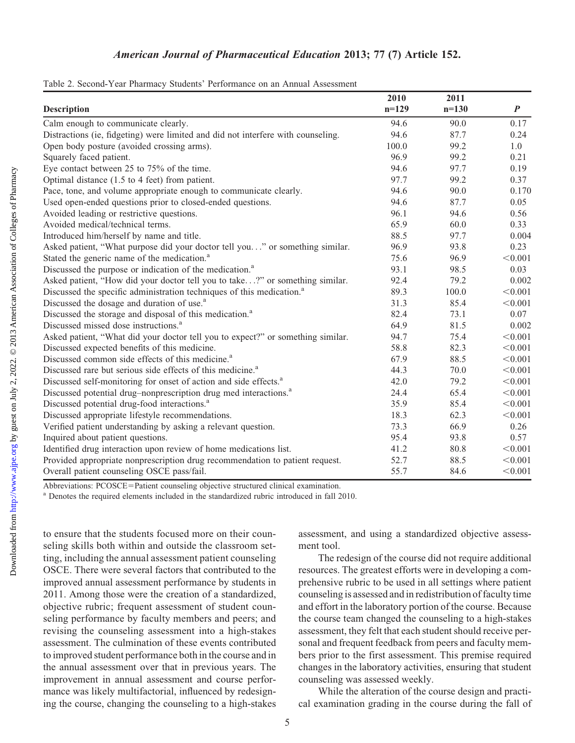| Table 2. Second-Year Pharmacy Students' Performance on an Annual Assessment |  |  |  |  |
|-----------------------------------------------------------------------------|--|--|--|--|
|-----------------------------------------------------------------------------|--|--|--|--|

|                                                                                   | 2010    | 2011    |                  |
|-----------------------------------------------------------------------------------|---------|---------|------------------|
| <b>Description</b>                                                                | $n=129$ | $n=130$ | $\boldsymbol{P}$ |
| Calm enough to communicate clearly.                                               | 94.6    | 90.0    | 0.17             |
| Distractions (ie, fidgeting) were limited and did not interfere with counseling.  | 94.6    | 87.7    | 0.24             |
| Open body posture (avoided crossing arms).                                        | 100.0   | 99.2    | 1.0              |
| Squarely faced patient.                                                           | 96.9    | 99.2    | 0.21             |
| Eye contact between 25 to 75% of the time.                                        | 94.6    | 97.7    | 0.19             |
| Optimal distance (1.5 to 4 feet) from patient.                                    | 97.7    | 99.2    | 0.37             |
| Pace, tone, and volume appropriate enough to communicate clearly.                 | 94.6    | 90.0    | 0.170            |
| Used open-ended questions prior to closed-ended questions.                        | 94.6    | 87.7    | 0.05             |
| Avoided leading or restrictive questions.                                         | 96.1    | 94.6    | 0.56             |
| Avoided medical/technical terms.                                                  | 65.9    | 60.0    | 0.33             |
| Introduced him/herself by name and title.                                         | 88.5    | 97.7    | 0.004            |
| Asked patient, "What purpose did your doctor tell you" or something similar.      | 96.9    | 93.8    | 0.23             |
| Stated the generic name of the medication. <sup>a</sup>                           | 75.6    | 96.9    | < 0.001          |
| Discussed the purpose or indication of the medication. <sup>a</sup>               | 93.1    | 98.5    | 0.03             |
| Asked patient, "How did your doctor tell you to take?" or something similar.      | 92.4    | 79.2    | 0.002            |
| Discussed the specific administration techniques of this medication. <sup>a</sup> | 89.3    | 100.0   | < 0.001          |
| Discussed the dosage and duration of use. <sup>a</sup>                            | 31.3    | 85.4    | < 0.001          |
| Discussed the storage and disposal of this medication. <sup>a</sup>               | 82.4    | 73.1    | 0.07             |
| Discussed missed dose instructions. <sup>a</sup>                                  | 64.9    | 81.5    | 0.002            |
| Asked patient, "What did your doctor tell you to expect?" or something similar.   | 94.7    | 75.4    | < 0.001          |
| Discussed expected benefits of this medicine.                                     | 58.8    | 82.3    | < 0.001          |
| Discussed common side effects of this medicine. <sup>a</sup>                      | 67.9    | 88.5    | < 0.001          |
| Discussed rare but serious side effects of this medicine. <sup>a</sup>            | 44.3    | 70.0    | < 0.001          |
| Discussed self-monitoring for onset of action and side effects. <sup>a</sup>      | 42.0    | 79.2    | < 0.001          |
| Discussed potential drug-nonprescription drug med interactions. <sup>a</sup>      | 24.4    | 65.4    | < 0.001          |
| Discussed potential drug-food interactions. <sup>a</sup>                          | 35.9    | 85.4    | < 0.001          |
| Discussed appropriate lifestyle recommendations.                                  | 18.3    | 62.3    | < 0.001          |
| Verified patient understanding by asking a relevant question.                     | 73.3    | 66.9    | 0.26             |
| Inquired about patient questions.                                                 | 95.4    | 93.8    | 0.57             |
| Identified drug interaction upon review of home medications list.                 | 41.2    | 80.8    | < 0.001          |
| Provided appropriate nonprescription drug recommendation to patient request.      | 52.7    | 88.5    | < 0.001          |
| Overall patient counseling OSCE pass/fail.                                        | 55.7    | 84.6    | < 0.001          |

Abbreviations: PCOSCE=Patient counseling objective structured clinical examination.<br><sup>a</sup> Denotes the required elements included in the standardized rubric introduced in fall 2010.

to ensure that the students focused more on their counseling skills both within and outside the classroom setting, including the annual assessment patient counseling OSCE. There were several factors that contributed to the improved annual assessment performance by students in 2011. Among those were the creation of a standardized, objective rubric; frequent assessment of student counseling performance by faculty members and peers; and revising the counseling assessment into a high-stakes assessment. The culmination of these events contributed to improved student performance both in the course and in the annual assessment over that in previous years. The improvement in annual assessment and course performance was likely multifactorial, influenced by redesigning the course, changing the counseling to a high-stakes assessment, and using a standardized objective assessment tool.

The redesign of the course did not require additional resources. The greatest efforts were in developing a comprehensive rubric to be used in all settings where patient counseling is assessed and in redistribution of faculty time and effort in the laboratory portion of the course. Because the course team changed the counseling to a high-stakes assessment, they felt that each student should receive personal and frequent feedback from peers and faculty members prior to the first assessment. This premise required changes in the laboratory activities, ensuring that student counseling was assessed weekly.

While the alteration of the course design and practical examination grading in the course during the fall of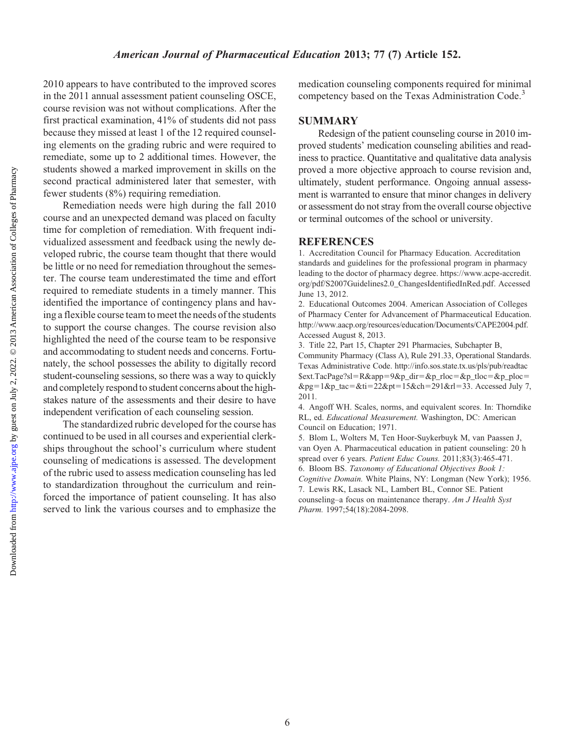2010 appears to have contributed to the improved scores in the 2011 annual assessment patient counseling OSCE, course revision was not without complications. After the first practical examination, 41% of students did not pass because they missed at least 1 of the 12 required counseling elements on the grading rubric and were required to remediate, some up to 2 additional times. However, the students showed a marked improvement in skills on the second practical administered later that semester, with fewer students (8%) requiring remediation.

Remediation needs were high during the fall 2010 course and an unexpected demand was placed on faculty time for completion of remediation. With frequent individualized assessment and feedback using the newly developed rubric, the course team thought that there would be little or no need for remediation throughout the semester. The course team underestimated the time and effort required to remediate students in a timely manner. This identified the importance of contingency plans and having a flexible course team to meet the needs of the students to support the course changes. The course revision also highlighted the need of the course team to be responsive and accommodating to student needs and concerns. Fortunately, the school possesses the ability to digitally record student-counseling sessions, so there was a way to quickly and completely respond to student concerns about the highstakes nature of the assessments and their desire to have independent verification of each counseling session.

The standardized rubric developed for the course has continued to be used in all courses and experiential clerkships throughout the school's curriculum where student counseling of medications is assessed. The development of the rubric used to assess medication counseling has led to standardization throughout the curriculum and reinforced the importance of patient counseling. It has also served to link the various courses and to emphasize the

medication counseling components required for minimal competency based on the Texas Administration Code.<sup>3</sup>

### **SUMMARY**

Redesign of the patient counseling course in 2010 improved students' medication counseling abilities and readiness to practice. Quantitative and qualitative data analysis proved a more objective approach to course revision and, ultimately, student performance. Ongoing annual assessment is warranted to ensure that minor changes in delivery or assessment do not stray from the overall course objective or terminal outcomes of the school or university.

#### **REFERENCES**

1. Accreditation Council for Pharmacy Education. Accreditation standards and guidelines for the professional program in pharmacy leading to the doctor of pharmacy degree. https://www.acpe-accredit. org/pdf/S2007Guidelines2.0\_ChangesIdentifiedInRed.pdf. Accessed June 13, 2012.

2. Educational Outcomes 2004. American Association of Colleges of Pharmacy Center for Advancement of Pharmaceutical Education. http://www.aacp.org/resources/education/Documents/CAPE2004.pdf. Accessed August 8, 2013.

3. Title 22, Part 15, Chapter 291 Pharmacies, Subchapter B, Community Pharmacy (Class A), Rule 291.33, Operational Standards. Texas Administrative Code. http://info.sos.state.tx.us/pls/pub/readtac  $% x = R\alpha$ =R&app=9&p\_dir=&p\_rloc=&p\_tloc=&p\_ploc=  $\&pg=1\&p\_tac=\&ti=22\&pt=15\&ch=291\&tl=33.$  Accessed July 7, 2011.

4. Angoff WH. Scales, norms, and equivalent scores. In: Thorndike RL, ed. Educational Measurement. Washington, DC: American Council on Education; 1971.

5. Blom L, Wolters M, Ten Hoor-Suykerbuyk M, van Paassen J, van Oyen A. Pharmaceutical education in patient counseling: 20 h spread over 6 years. Patient Educ Couns. 2011;83(3):465-471. 6. Bloom BS. Taxonomy of Educational Objectives Book 1: Cognitive Domain. White Plains, NY: Longman (New York); 1956. 7. Lewis RK, Lasack NL, Lambert BL, Connor SE. Patient counseling–a focus on maintenance therapy. Am J Health Syst Pharm. 1997;54(18):2084-2098.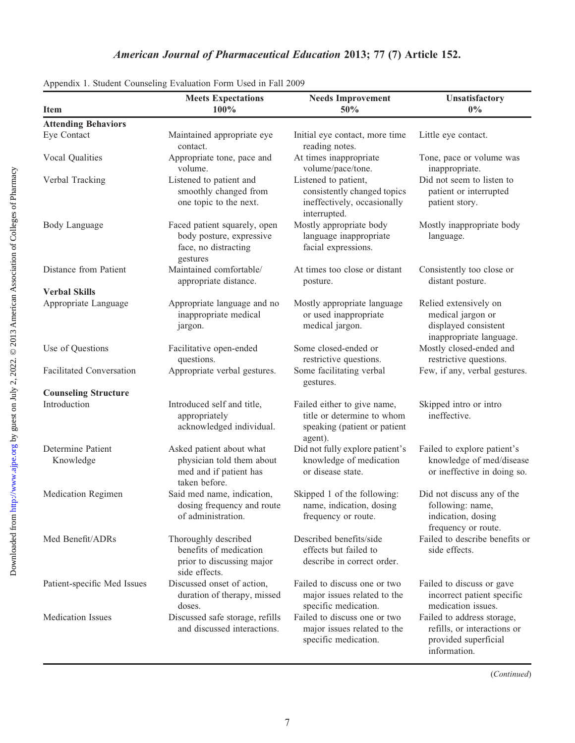| <b>Item</b>                     | <b>Meets Expectations</b><br>100%                                                                | <b>Needs Improvement</b><br>50%                                                                      | Unsatisfactory<br>$0\%$                                                                           |
|---------------------------------|--------------------------------------------------------------------------------------------------|------------------------------------------------------------------------------------------------------|---------------------------------------------------------------------------------------------------|
| <b>Attending Behaviors</b>      |                                                                                                  |                                                                                                      |                                                                                                   |
| Eye Contact                     | Maintained appropriate eye<br>contact.                                                           | Initial eye contact, more time<br>reading notes.                                                     | Little eye contact.                                                                               |
| Vocal Qualities                 | Appropriate tone, pace and<br>volume.                                                            | At times inappropriate<br>volume/pace/tone.                                                          | Tone, pace or volume was<br>inappropriate.                                                        |
| Verbal Tracking                 | Listened to patient and<br>smoothly changed from<br>one topic to the next.                       | Listened to patient,<br>consistently changed topics<br>ineffectively, occasionally<br>interrupted.   | Did not seem to listen to<br>patient or interrupted<br>patient story.                             |
| Body Language                   | Faced patient squarely, open<br>body posture, expressive<br>face, no distracting<br>gestures     | Mostly appropriate body<br>language inappropriate<br>facial expressions.                             | Mostly inappropriate body<br>language.                                                            |
| Distance from Patient           | Maintained comfortable/<br>appropriate distance.                                                 | At times too close or distant<br>posture.                                                            | Consistently too close or<br>distant posture.                                                     |
| <b>Verbal Skills</b>            |                                                                                                  |                                                                                                      |                                                                                                   |
| Appropriate Language            | Appropriate language and no<br>inappropriate medical<br>jargon.                                  | Mostly appropriate language<br>or used inappropriate<br>medical jargon.                              | Relied extensively on<br>medical jargon or<br>displayed consistent<br>inappropriate language.     |
| Use of Questions                | Facilitative open-ended<br>questions.                                                            | Some closed-ended or<br>restrictive questions.                                                       | Mostly closed-ended and<br>restrictive questions.                                                 |
| <b>Facilitated Conversation</b> | Appropriate verbal gestures.                                                                     | Some facilitating verbal<br>gestures.                                                                | Few, if any, verbal gestures.                                                                     |
| <b>Counseling Structure</b>     |                                                                                                  |                                                                                                      |                                                                                                   |
| Introduction                    | Introduced self and title,<br>appropriately<br>acknowledged individual.                          | Failed either to give name,<br>title or determine to whom<br>speaking (patient or patient<br>agent). | Skipped intro or intro<br>ineffective.                                                            |
| Determine Patient<br>Knowledge  | Asked patient about what<br>physician told them about<br>med and if patient has<br>taken before. | Did not fully explore patient's<br>knowledge of medication<br>or disease state.                      | Failed to explore patient's<br>knowledge of med/disease<br>or ineffective in doing so.            |
| Medication Regimen              | Said med name, indication,<br>dosing frequency and route<br>of administration.                   | Skipped 1 of the following:<br>name, indication, dosing<br>frequency or route.                       | Did not discuss any of the<br>following: name,<br>indication, dosing<br>frequency or route.       |
| Med Benefit/ADRs                | Thoroughly described<br>benefits of medication<br>prior to discussing major<br>side effects.     | Described benefits/side<br>effects but failed to<br>describe in correct order.                       | Failed to describe benefits or<br>side effects.                                                   |
| Patient-specific Med Issues     | Discussed onset of action,<br>duration of therapy, missed<br>doses.                              | Failed to discuss one or two<br>major issues related to the<br>specific medication.                  | Failed to discuss or gave<br>incorrect patient specific<br>medication issues.                     |
| <b>Medication Issues</b>        | Discussed safe storage, refills<br>and discussed interactions.                                   | Failed to discuss one or two<br>major issues related to the<br>specific medication.                  | Failed to address storage,<br>refills, or interactions or<br>provided superficial<br>information. |

Appendix 1. Student Counseling Evaluation Form Used in Fall 2009

(Continued)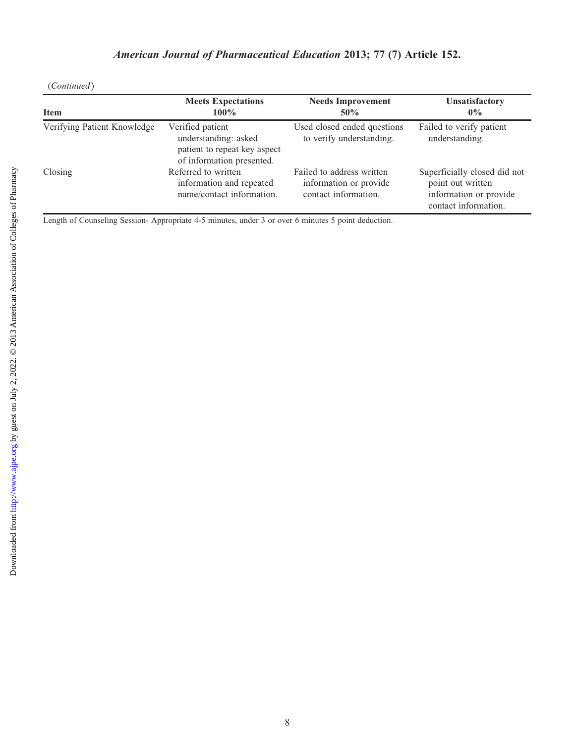(Continued)

| <b>Item</b>                 | <b>Meets Expectations</b><br>$100\%$                                                                  | <b>Needs Improvement</b><br>50%                                             | <b>Unsatisfactory</b><br>$0\%$                                                                      |
|-----------------------------|-------------------------------------------------------------------------------------------------------|-----------------------------------------------------------------------------|-----------------------------------------------------------------------------------------------------|
| Verifying Patient Knowledge | Verified patient<br>understanding: asked<br>patient to repeat key aspect<br>of information presented. | Used closed ended questions<br>to verify understanding.                     | Failed to verify patient<br>understanding.                                                          |
| Closing                     | Referred to written<br>information and repeated<br>name/contact information.                          | Failed to address written<br>information or provide<br>contact information. | Superficially closed did not<br>point out written<br>information or provide<br>contact information. |

Length of Counseling Session- Appropriate 4-5 minutes, under 3 or over 6 minutes 5 point deduction.